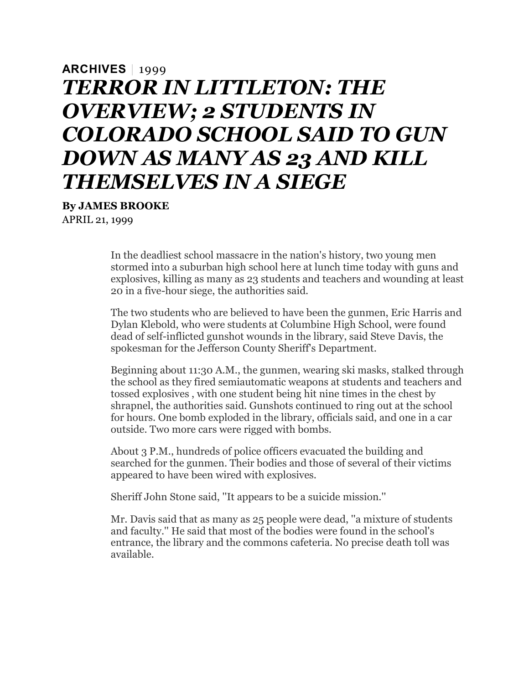## **[ARCHIVES](http://timesmachine.nytimes.com/browser)** | 1999 *TERROR IN LITTLETON: THE OVERVIEW; 2 STUDENTS IN COLORADO SCHOOL SAID TO GUN DOWN AS MANY AS 23 AND KILL THEMSELVES IN A SIEGE*

**By [JAMES BROOKE](https://www.nytimes.com/by/james-brooke)** APRIL 21, 1999

> In the deadliest school massacre in the nation's history, two young men stormed into a suburban high school here at lunch time today with guns and explosives, killing as many as 23 students and teachers and wounding at least 20 in a five-hour siege, the authorities said.

> The two students who are believed to have been the gunmen, Eric Harris and Dylan Klebold, who were students at Columbine High School, were found dead of self-inflicted gunshot wounds in the library, said Steve Davis, the spokesman for the Jefferson County Sheriff's Department.

> Beginning about 11:30 A.M., the gunmen, wearing ski masks, stalked through the school as they fired semiautomatic weapons at students and teachers and tossed explosives , with one student being hit nine times in the chest by shrapnel, the authorities said. Gunshots continued to ring out at the school for hours. One bomb exploded in the library, officials said, and one in a car outside. Two more cars were rigged with bombs.

About 3 P.M., hundreds of police officers evacuated the building and searched for the gunmen. Their bodies and those of several of their victims appeared to have been wired with explosives.

Sheriff John Stone said, ''It appears to be a suicide mission.''

Mr. Davis said that as many as 25 people were dead, ''a mixture of students and faculty.'' He said that most of the bodies were found in the school's entrance, the library and the commons cafeteria. No precise death toll was available.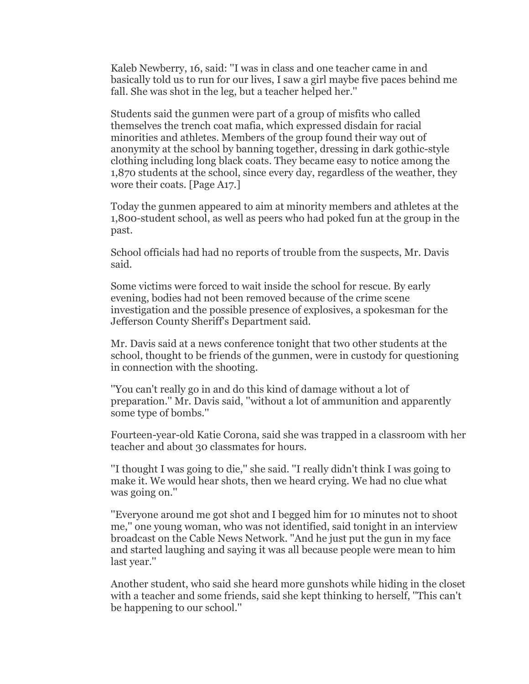Kaleb Newberry, 16, said: ''I was in class and one teacher came in and basically told us to run for our lives, I saw a girl maybe five paces behind me fall. She was shot in the leg, but a teacher helped her.''

Students said the gunmen were part of a group of misfits who called themselves the trench coat mafia, which expressed disdain for racial minorities and athletes. Members of the group found their way out of anonymity at the school by banning together, dressing in dark gothic-style clothing including long black coats. They became easy to notice among the 1,870 students at the school, since every day, regardless of the weather, they wore their coats. [Page A17.]

Today the gunmen appeared to aim at minority members and athletes at the 1,800-student school, as well as peers who had poked fun at the group in the past.

School officials had had no reports of trouble from the suspects, Mr. Davis said.

Some victims were forced to wait inside the school for rescue. By early evening, bodies had not been removed because of the crime scene investigation and the possible presence of explosives, a spokesman for the Jefferson County Sheriff's Department said.

Mr. Davis said at a news conference tonight that two other students at the school, thought to be friends of the gunmen, were in custody for questioning in connection with the shooting.

''You can't really go in and do this kind of damage without a lot of preparation.'' Mr. Davis said, ''without a lot of ammunition and apparently some type of bombs.''

Fourteen-year-old Katie Corona, said she was trapped in a classroom with her teacher and about 30 classmates for hours.

''I thought I was going to die,'' she said. ''I really didn't think I was going to make it. We would hear shots, then we heard crying. We had no clue what was going on.''

''Everyone around me got shot and I begged him for 10 minutes not to shoot me,'' one young woman, who was not identified, said tonight in an interview broadcast on the Cable News Network. ''And he just put the gun in my face and started laughing and saying it was all because people were mean to him last year.''

Another student, who said she heard more gunshots while hiding in the closet with a teacher and some friends, said she kept thinking to herself, ''This can't be happening to our school.''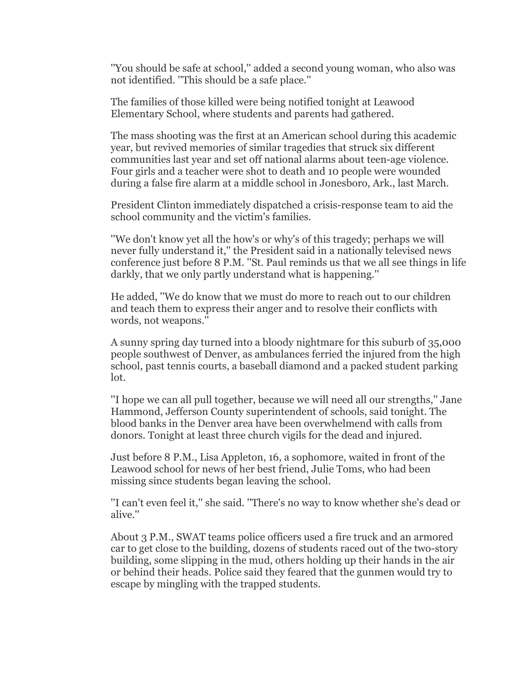''You should be safe at school,'' added a second young woman, who also was not identified. ''This should be a safe place.''

The families of those killed were being notified tonight at Leawood Elementary School, where students and parents had gathered.

The mass shooting was the first at an American school during this academic year, but revived memories of similar tragedies that struck six different communities last year and set off national alarms about teen-age violence. Four girls and a teacher were shot to death and 10 people were wounded during a false fire alarm at a middle school in Jonesboro, Ark., last March.

President Clinton immediately dispatched a crisis-response team to aid the school community and the victim's families.

''We don't know yet all the how's or why's of this tragedy; perhaps we will never fully understand it,'' the President said in a nationally televised news conference just before 8 P.M. ''St. Paul reminds us that we all see things in life darkly, that we only partly understand what is happening.''

He added, ''We do know that we must do more to reach out to our children and teach them to express their anger and to resolve their conflicts with words, not weapons.''

A sunny spring day turned into a bloody nightmare for this suburb of 35,000 people southwest of Denver, as ambulances ferried the injured from the high school, past tennis courts, a baseball diamond and a packed student parking lot.

''I hope we can all pull together, because we will need all our strengths,'' Jane Hammond, Jefferson County superintendent of schools, said tonight. The blood banks in the Denver area have been overwhelmend with calls from donors. Tonight at least three church vigils for the dead and injured.

Just before 8 P.M., Lisa Appleton, 16, a sophomore, waited in front of the Leawood school for news of her best friend, Julie Toms, who had been missing since students began leaving the school.

''I can't even feel it,'' she said. ''There's no way to know whether she's dead or alive.''

About 3 P.M., SWAT teams police officers used a fire truck and an armored car to get close to the building, dozens of students raced out of the two-story building, some slipping in the mud, others holding up their hands in the air or behind their heads. Police said they feared that the gunmen would try to escape by mingling with the trapped students.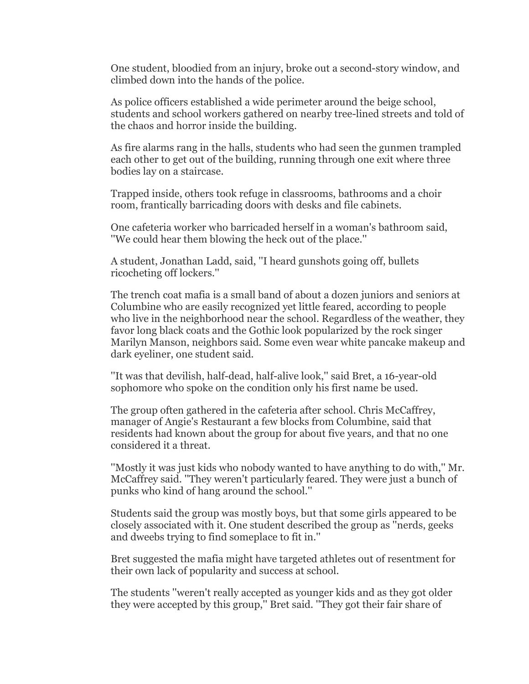One student, bloodied from an injury, broke out a second-story window, and climbed down into the hands of the police.

As police officers established a wide perimeter around the beige school, students and school workers gathered on nearby tree-lined streets and told of the chaos and horror inside the building.

As fire alarms rang in the halls, students who had seen the gunmen trampled each other to get out of the building, running through one exit where three bodies lay on a staircase.

Trapped inside, others took refuge in classrooms, bathrooms and a choir room, frantically barricading doors with desks and file cabinets.

One cafeteria worker who barricaded herself in a woman's bathroom said, ''We could hear them blowing the heck out of the place.''

A student, Jonathan Ladd, said, ''I heard gunshots going off, bullets ricocheting off lockers.''

The trench coat mafia is a small band of about a dozen juniors and seniors at Columbine who are easily recognized yet little feared, according to people who live in the neighborhood near the school. Regardless of the weather, they favor long black coats and the Gothic look popularized by the rock singer Marilyn Manson, neighbors said. Some even wear white pancake makeup and dark eyeliner, one student said.

''It was that devilish, half-dead, half-alive look,'' said Bret, a 16-year-old sophomore who spoke on the condition only his first name be used.

The group often gathered in the cafeteria after school. Chris McCaffrey, manager of Angie's Restaurant a few blocks from Columbine, said that residents had known about the group for about five years, and that no one considered it a threat.

''Mostly it was just kids who nobody wanted to have anything to do with,'' Mr. McCaffrey said. ''They weren't particularly feared. They were just a bunch of punks who kind of hang around the school.''

Students said the group was mostly boys, but that some girls appeared to be closely associated with it. One student described the group as ''nerds, geeks and dweebs trying to find someplace to fit in.''

Bret suggested the mafia might have targeted athletes out of resentment for their own lack of popularity and success at school.

The students ''weren't really accepted as younger kids and as they got older they were accepted by this group,'' Bret said. ''They got their fair share of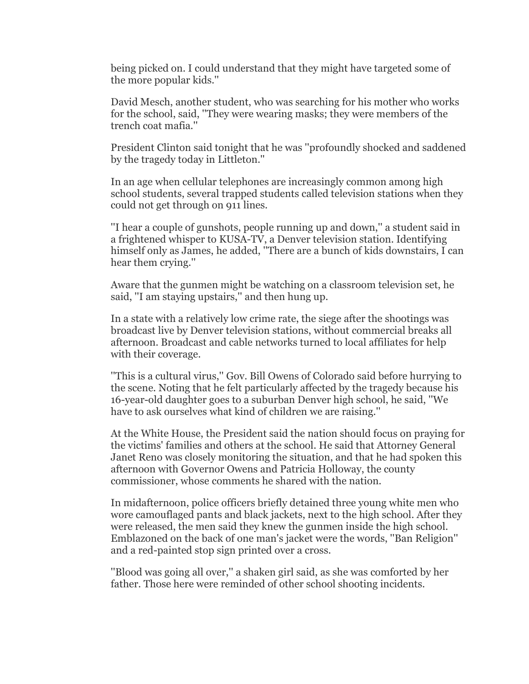being picked on. I could understand that they might have targeted some of the more popular kids.''

David Mesch, another student, who was searching for his mother who works for the school, said, ''They were wearing masks; they were members of the trench coat mafia.''

President Clinton said tonight that he was ''profoundly shocked and saddened by the tragedy today in Littleton.''

In an age when cellular telephones are increasingly common among high school students, several trapped students called television stations when they could not get through on 911 lines.

''I hear a couple of gunshots, people running up and down,'' a student said in a frightened whisper to KUSA-TV, a Denver television station. Identifying himself only as James, he added, ''There are a bunch of kids downstairs, I can hear them crying.''

Aware that the gunmen might be watching on a classroom television set, he said, "I am staying upstairs," and then hung up.

In a state with a relatively low crime rate, the siege after the shootings was broadcast live by Denver television stations, without commercial breaks all afternoon. Broadcast and cable networks turned to local affiliates for help with their coverage.

''This is a cultural virus,'' Gov. Bill Owens of Colorado said before hurrying to the scene. Noting that he felt particularly affected by the tragedy because his 16-year-old daughter goes to a suburban Denver high school, he said, ''We have to ask ourselves what kind of children we are raising.''

At the White House, the President said the nation should focus on praying for the victims' families and others at the school. He said that Attorney General Janet Reno was closely monitoring the situation, and that he had spoken this afternoon with Governor Owens and Patricia Holloway, the county commissioner, whose comments he shared with the nation.

In midafternoon, police officers briefly detained three young white men who wore camouflaged pants and black jackets, next to the high school. After they were released, the men said they knew the gunmen inside the high school. Emblazoned on the back of one man's jacket were the words, ''Ban Religion'' and a red-painted stop sign printed over a cross.

''Blood was going all over,'' a shaken girl said, as she was comforted by her father. Those here were reminded of other school shooting incidents.